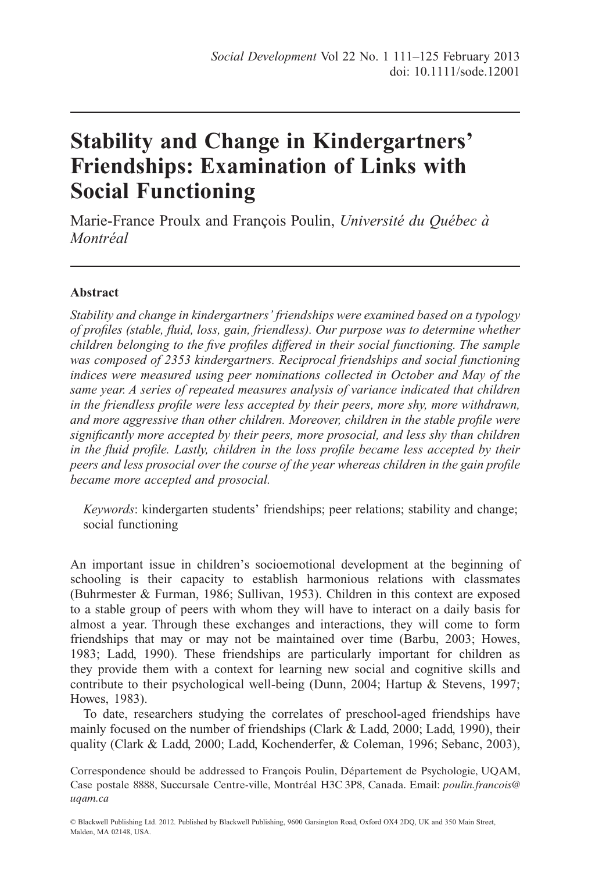# **Stability and Change in Kindergartners' Friendships: Examination of Links with Social Functioning**

Marie-France Proulx and François Poulin, *Université du Québec à Montréal*

# **Abstract**

*Stability and change in kindergartners' friendships were examined based on a typology of profiles (stable, fluid, loss, gain, friendless). Our purpose was to determine whether children belonging to the five profiles differed in their social functioning. The sample was composed of 2353 kindergartners. Reciprocal friendships and social functioning indices were measured using peer nominations collected in October and May of the same year. A series of repeated measures analysis of variance indicated that children in the friendless profile were less accepted by their peers, more shy, more withdrawn, and more aggressive than other children. Moreover, children in the stable profile were significantly more accepted by their peers, more prosocial, and less shy than children in the fluid profile. Lastly, children in the loss profile became less accepted by their peers and less prosocial over the course of the year whereas children in the gain profile became more accepted and prosocial.*

*Keywords*: kindergarten students' friendships; peer relations; stability and change; social functioning

An important issue in children's socioemotional development at the beginning of schooling is their capacity to establish harmonious relations with classmates (Buhrmester & Furman, 1986; Sullivan, 1953). Children in this context are exposed to a stable group of peers with whom they will have to interact on a daily basis for almost a year. Through these exchanges and interactions, they will come to form friendships that may or may not be maintained over time (Barbu, 2003; Howes, 1983; Ladd, 1990). These friendships are particularly important for children as they provide them with a context for learning new social and cognitive skills and contribute to their psychological well-being (Dunn, 2004; Hartup & Stevens, 1997; Howes, 1983).

To date, researchers studying the correlates of preschool-aged friendships have mainly focused on the number of friendships (Clark & Ladd, 2000; Ladd, 1990), their quality (Clark & Ladd, 2000; Ladd, Kochenderfer, & Coleman, 1996; Sebanc, 2003),

Correspondence should be addressed to François Poulin, Département de Psychologie, UQAM, Case postale 8888, Succursale Centre-ville, Montréal H3C 3P8, Canada. Email: *poulin.francois@ uqam.ca*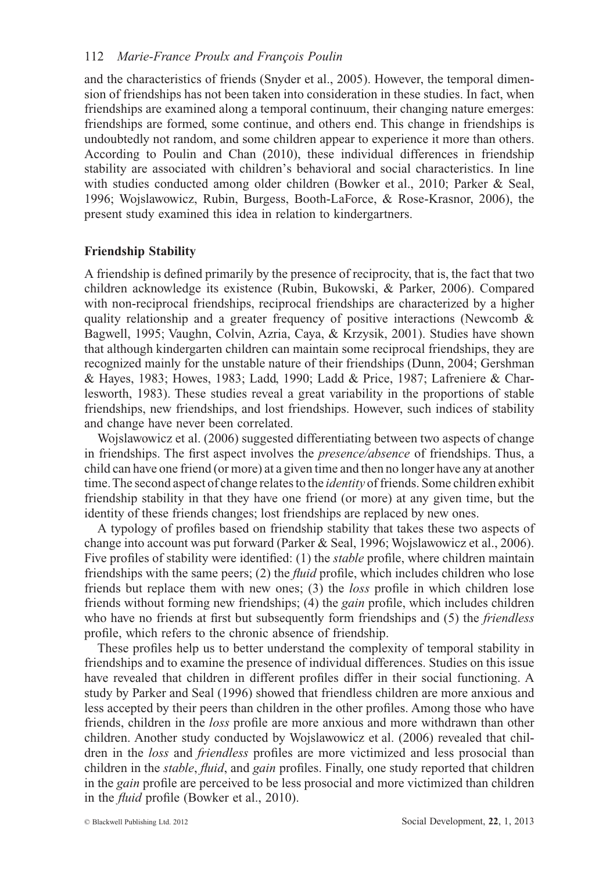and the characteristics of friends (Snyder et al., 2005). However, the temporal dimension of friendships has not been taken into consideration in these studies. In fact, when friendships are examined along a temporal continuum, their changing nature emerges: friendships are formed, some continue, and others end. This change in friendships is undoubtedly not random, and some children appear to experience it more than others. According to Poulin and Chan (2010), these individual differences in friendship stability are associated with children's behavioral and social characteristics. In line with studies conducted among older children (Bowker et al., 2010; Parker & Seal, 1996; Wojslawowicz, Rubin, Burgess, Booth-LaForce, & Rose-Krasnor, 2006), the present study examined this idea in relation to kindergartners.

#### **Friendship Stability**

A friendship is defined primarily by the presence of reciprocity, that is, the fact that two children acknowledge its existence (Rubin, Bukowski, & Parker, 2006). Compared with non-reciprocal friendships, reciprocal friendships are characterized by a higher quality relationship and a greater frequency of positive interactions (Newcomb  $\&$ Bagwell, 1995; Vaughn, Colvin, Azria, Caya, & Krzysik, 2001). Studies have shown that although kindergarten children can maintain some reciprocal friendships, they are recognized mainly for the unstable nature of their friendships (Dunn, 2004; Gershman & Hayes, 1983; Howes, 1983; Ladd, 1990; Ladd & Price, 1987; Lafreniere & Charlesworth, 1983). These studies reveal a great variability in the proportions of stable friendships, new friendships, and lost friendships. However, such indices of stability and change have never been correlated.

Wojslawowicz et al. (2006) suggested differentiating between two aspects of change in friendships. The first aspect involves the *presence/absence* of friendships. Thus, a child can have one friend (or more) at a given time and then no longer have any at another time.The second aspect of change relates to the *identity* of friends. Some children exhibit friendship stability in that they have one friend (or more) at any given time, but the identity of these friends changes; lost friendships are replaced by new ones.

A typology of profiles based on friendship stability that takes these two aspects of change into account was put forward (Parker & Seal, 1996; Wojslawowicz et al., 2006). Five profiles of stability were identified: (1) the *stable* profile, where children maintain friendships with the same peers; (2) the *fluid* profile, which includes children who lose friends but replace them with new ones; (3) the *loss* profile in which children lose friends without forming new friendships; (4) the *gain* profile, which includes children who have no friends at first but subsequently form friendships and (5) the *friendless* profile, which refers to the chronic absence of friendship.

These profiles help us to better understand the complexity of temporal stability in friendships and to examine the presence of individual differences. Studies on this issue have revealed that children in different profiles differ in their social functioning. A study by Parker and Seal (1996) showed that friendless children are more anxious and less accepted by their peers than children in the other profiles. Among those who have friends, children in the *loss* profile are more anxious and more withdrawn than other children. Another study conducted by Wojslawowicz et al. (2006) revealed that children in the *loss* and *friendless* profiles are more victimized and less prosocial than children in the *stable*, *fluid*, and *gain* profiles. Finally, one study reported that children in the *gain* profile are perceived to be less prosocial and more victimized than children in the *fluid* profile (Bowker et al., 2010).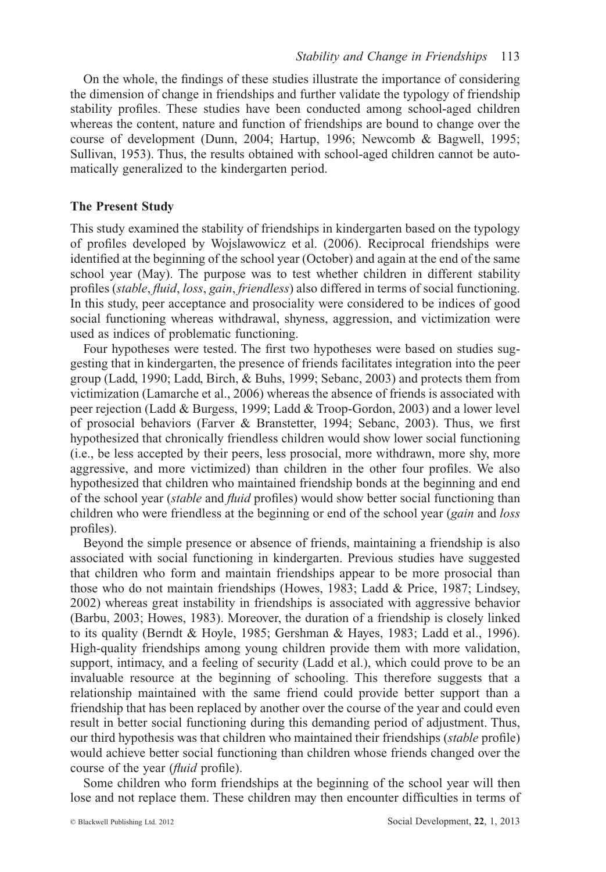On the whole, the findings of these studies illustrate the importance of considering the dimension of change in friendships and further validate the typology of friendship stability profiles. These studies have been conducted among school-aged children whereas the content, nature and function of friendships are bound to change over the course of development (Dunn, 2004; Hartup, 1996; Newcomb & Bagwell, 1995; Sullivan, 1953). Thus, the results obtained with school-aged children cannot be automatically generalized to the kindergarten period.

#### **The Present Study**

This study examined the stability of friendships in kindergarten based on the typology of profiles developed by Wojslawowicz et al. (2006). Reciprocal friendships were identified at the beginning of the school year (October) and again at the end of the same school year (May). The purpose was to test whether children in different stability profiles (*stable*, *fluid*, *loss*, *gain*, *friendless*) also differed in terms of social functioning. In this study, peer acceptance and prosociality were considered to be indices of good social functioning whereas withdrawal, shyness, aggression, and victimization were used as indices of problematic functioning.

Four hypotheses were tested. The first two hypotheses were based on studies suggesting that in kindergarten, the presence of friends facilitates integration into the peer group (Ladd, 1990; Ladd, Birch, & Buhs, 1999; Sebanc, 2003) and protects them from victimization (Lamarche et al., 2006) whereas the absence of friends is associated with peer rejection (Ladd & Burgess, 1999; Ladd & Troop-Gordon, 2003) and a lower level of prosocial behaviors (Farver & Branstetter, 1994; Sebanc, 2003). Thus, we first hypothesized that chronically friendless children would show lower social functioning (i.e., be less accepted by their peers, less prosocial, more withdrawn, more shy, more aggressive, and more victimized) than children in the other four profiles. We also hypothesized that children who maintained friendship bonds at the beginning and end of the school year (*stable* and *fluid* profiles) would show better social functioning than children who were friendless at the beginning or end of the school year (*gain* and *loss* profiles).

Beyond the simple presence or absence of friends, maintaining a friendship is also associated with social functioning in kindergarten. Previous studies have suggested that children who form and maintain friendships appear to be more prosocial than those who do not maintain friendships (Howes, 1983; Ladd & Price, 1987; Lindsey, 2002) whereas great instability in friendships is associated with aggressive behavior (Barbu, 2003; Howes, 1983). Moreover, the duration of a friendship is closely linked to its quality (Berndt & Hoyle, 1985; Gershman & Hayes, 1983; Ladd et al., 1996). High-quality friendships among young children provide them with more validation, support, intimacy, and a feeling of security (Ladd et al.), which could prove to be an invaluable resource at the beginning of schooling. This therefore suggests that a relationship maintained with the same friend could provide better support than a friendship that has been replaced by another over the course of the year and could even result in better social functioning during this demanding period of adjustment. Thus, our third hypothesis was that children who maintained their friendships (*stable* profile) would achieve better social functioning than children whose friends changed over the course of the year (*fluid* profile).

Some children who form friendships at the beginning of the school year will then lose and not replace them. These children may then encounter difficulties in terms of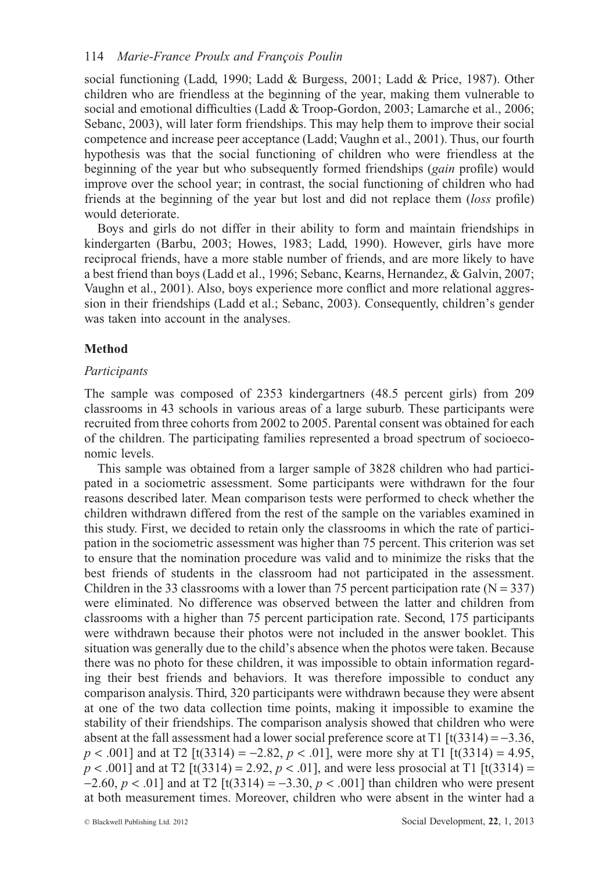social functioning (Ladd, 1990; Ladd & Burgess, 2001; Ladd & Price, 1987). Other children who are friendless at the beginning of the year, making them vulnerable to social and emotional difficulties (Ladd & Troop-Gordon, 2003; Lamarche et al., 2006; Sebanc, 2003), will later form friendships. This may help them to improve their social competence and increase peer acceptance (Ladd; Vaughn et al., 2001). Thus, our fourth hypothesis was that the social functioning of children who were friendless at the beginning of the year but who subsequently formed friendships (*gain* profile) would improve over the school year; in contrast, the social functioning of children who had friends at the beginning of the year but lost and did not replace them (*loss* profile) would deteriorate.

Boys and girls do not differ in their ability to form and maintain friendships in kindergarten (Barbu, 2003; Howes, 1983; Ladd, 1990). However, girls have more reciprocal friends, have a more stable number of friends, and are more likely to have a best friend than boys (Ladd et al., 1996; Sebanc, Kearns, Hernandez, & Galvin, 2007; Vaughn et al., 2001). Also, boys experience more conflict and more relational aggression in their friendships (Ladd et al.; Sebanc, 2003). Consequently, children's gender was taken into account in the analyses.

## **Method**

#### *Participants*

The sample was composed of 2353 kindergartners (48.5 percent girls) from 209 classrooms in 43 schools in various areas of a large suburb. These participants were recruited from three cohorts from 2002 to 2005. Parental consent was obtained for each of the children. The participating families represented a broad spectrum of socioeconomic levels.

This sample was obtained from a larger sample of 3828 children who had participated in a sociometric assessment. Some participants were withdrawn for the four reasons described later. Mean comparison tests were performed to check whether the children withdrawn differed from the rest of the sample on the variables examined in this study. First, we decided to retain only the classrooms in which the rate of participation in the sociometric assessment was higher than 75 percent. This criterion was set to ensure that the nomination procedure was valid and to minimize the risks that the best friends of students in the classroom had not participated in the assessment. Children in the 33 classrooms with a lower than 75 percent participation rate ( $N = 337$ ) were eliminated. No difference was observed between the latter and children from classrooms with a higher than 75 percent participation rate. Second, 175 participants were withdrawn because their photos were not included in the answer booklet. This situation was generally due to the child's absence when the photos were taken. Because there was no photo for these children, it was impossible to obtain information regarding their best friends and behaviors. It was therefore impossible to conduct any comparison analysis. Third, 320 participants were withdrawn because they were absent at one of the two data collection time points, making it impossible to examine the stability of their friendships. The comparison analysis showed that children who were absent at the fall assessment had a lower social preference score at T1 [t(3314) =  $-3.36$ ,  $p < .001$ ] and at T2 [t(3314) = -2.82,  $p < .01$ ], were more shy at T1 [t(3314) = 4.95,  $p < .001$ ] and at T2 [t(3314) = 2.92,  $p < .01$ ], and were less prosocial at T1 [t(3314) =  $-2.60, p < .01$ ] and at T2 [t(3314) =  $-3.30, p < .001$ ] than children who were present at both measurement times. Moreover, children who were absent in the winter had a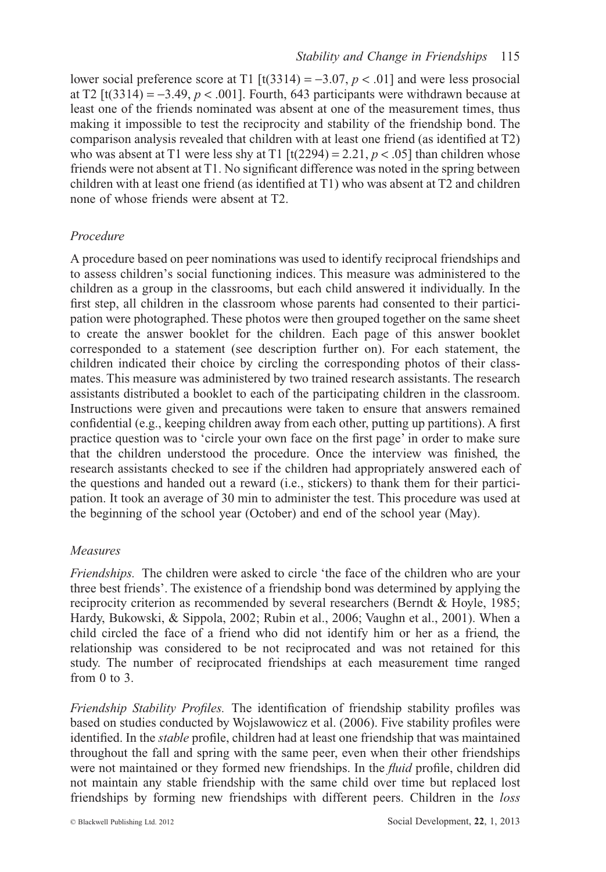lower social preference score at T1  $[t(3314) = -3.07, p < .01]$  and were less prosocial at T2 [t(3314) =  $-3.49$ ,  $p < .001$ ]. Fourth, 643 participants were withdrawn because at least one of the friends nominated was absent at one of the measurement times, thus making it impossible to test the reciprocity and stability of the friendship bond. The comparison analysis revealed that children with at least one friend (as identified at T2) who was absent at T1 were less shy at T1  $[t(2294) = 2.21, p < .05]$  than children whose friends were not absent at T1. No significant difference was noted in the spring between children with at least one friend (as identified at T1) who was absent at T2 and children none of whose friends were absent at T2.

## *Procedure*

A procedure based on peer nominations was used to identify reciprocal friendships and to assess children's social functioning indices. This measure was administered to the children as a group in the classrooms, but each child answered it individually. In the first step, all children in the classroom whose parents had consented to their participation were photographed. These photos were then grouped together on the same sheet to create the answer booklet for the children. Each page of this answer booklet corresponded to a statement (see description further on). For each statement, the children indicated their choice by circling the corresponding photos of their classmates. This measure was administered by two trained research assistants. The research assistants distributed a booklet to each of the participating children in the classroom. Instructions were given and precautions were taken to ensure that answers remained confidential (e.g., keeping children away from each other, putting up partitions). A first practice question was to 'circle your own face on the first page' in order to make sure that the children understood the procedure. Once the interview was finished, the research assistants checked to see if the children had appropriately answered each of the questions and handed out a reward (i.e., stickers) to thank them for their participation. It took an average of 30 min to administer the test. This procedure was used at the beginning of the school year (October) and end of the school year (May).

## *Measures*

*Friendships.* The children were asked to circle 'the face of the children who are your three best friends'. The existence of a friendship bond was determined by applying the reciprocity criterion as recommended by several researchers (Berndt & Hoyle, 1985; Hardy, Bukowski, & Sippola, 2002; Rubin et al., 2006; Vaughn et al., 2001). When a child circled the face of a friend who did not identify him or her as a friend, the relationship was considered to be not reciprocated and was not retained for this study. The number of reciprocated friendships at each measurement time ranged from 0 to 3.

*Friendship Stability Profiles.* The identification of friendship stability profiles was based on studies conducted by Wojslawowicz et al. (2006). Five stability profiles were identified. In the *stable* profile, children had at least one friendship that was maintained throughout the fall and spring with the same peer, even when their other friendships were not maintained or they formed new friendships. In the *fluid* profile, children did not maintain any stable friendship with the same child over time but replaced lost friendships by forming new friendships with different peers. Children in the *loss*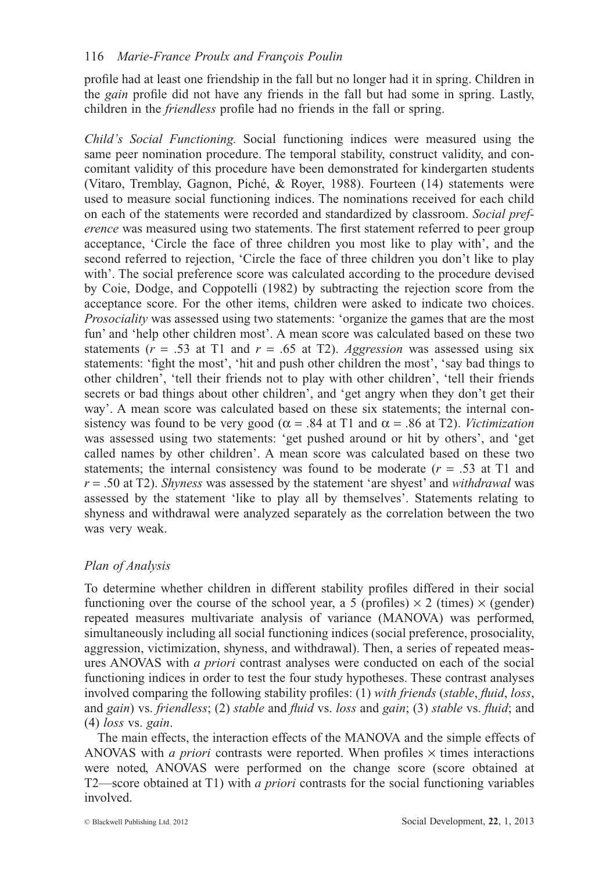profile had at least one friendship in the fall but no longer had it in spring. Children in the *gain* profile did not have any friends in the fall but had some in spring. Lastly, children in the *friendless* profile had no friends in the fall or spring.

*Child's Social Functioning.* Social functioning indices were measured using the same peer nomination procedure. The temporal stability, construct validity, and concomitant validity of this procedure have been demonstrated for kindergarten students (Vitaro, Tremblay, Gagnon, Piché, & Royer, 1988). Fourteen (14) statements were used to measure social functioning indices. The nominations received for each child on each of the statements were recorded and standardized by classroom. *Social preference* was measured using two statements. The first statement referred to peer group acceptance, 'Circle the face of three children you most like to play with', and the second referred to rejection, 'Circle the face of three children you don't like to play with'. The social preference score was calculated according to the procedure devised by Coie, Dodge, and Coppotelli (1982) by subtracting the rejection score from the acceptance score. For the other items, children were asked to indicate two choices. *Prosociality* was assessed using two statements: 'organize the games that are the most fun' and 'help other children most'. A mean score was calculated based on these two statements ( $r = .53$  at T1 and  $r = .65$  at T2). *Aggression* was assessed using six statements: 'fight the most', 'hit and push other children the most', 'say bad things to other children', 'tell their friends not to play with other children', 'tell their friends secrets or bad things about other children', and 'get angry when they don't get their way'. A mean score was calculated based on these six statements; the internal consistency was found to be very good ( $\alpha$  = .84 at T1 and  $\alpha$  = .86 at T2). *Victimization* was assessed using two statements: 'get pushed around or hit by others', and 'get called names by other children'. A mean score was calculated based on these two statements; the internal consistency was found to be moderate  $(r = .53$  at T1 and *r* = .50 at T2). *Shyness* was assessed by the statement 'are shyest' and *withdrawal* was assessed by the statement 'like to play all by themselves'. Statements relating to shyness and withdrawal were analyzed separately as the correlation between the two was very weak.

# *Plan of Analysis*

To determine whether children in different stability profiles differed in their social functioning over the course of the school year, a 5 (profiles)  $\times$  2 (times)  $\times$  (gender) repeated measures multivariate analysis of variance (MANOVA) was performed, simultaneously including all social functioning indices (social preference, prosociality, aggression, victimization, shyness, and withdrawal). Then, a series of repeated measures ANOVAS with *a priori* contrast analyses were conducted on each of the social functioning indices in order to test the four study hypotheses. These contrast analyses involved comparing the following stability profiles: (1) *with friends* (*stable*, *fluid*, *loss*, and *gain*) vs. *friendless*; (2) *stable* and *fluid* vs. *loss* and *gain*; (3) *stable* vs. *fluid*; and (4) *loss* vs. *gain*.

The main effects, the interaction effects of the MANOVA and the simple effects of ANOVAS with *a priori* contrasts were reported. When profiles  $\times$  times interactions were noted, ANOVAS were performed on the change score (score obtained at T2—score obtained at T1) with *a priori* contrasts for the social functioning variables involved.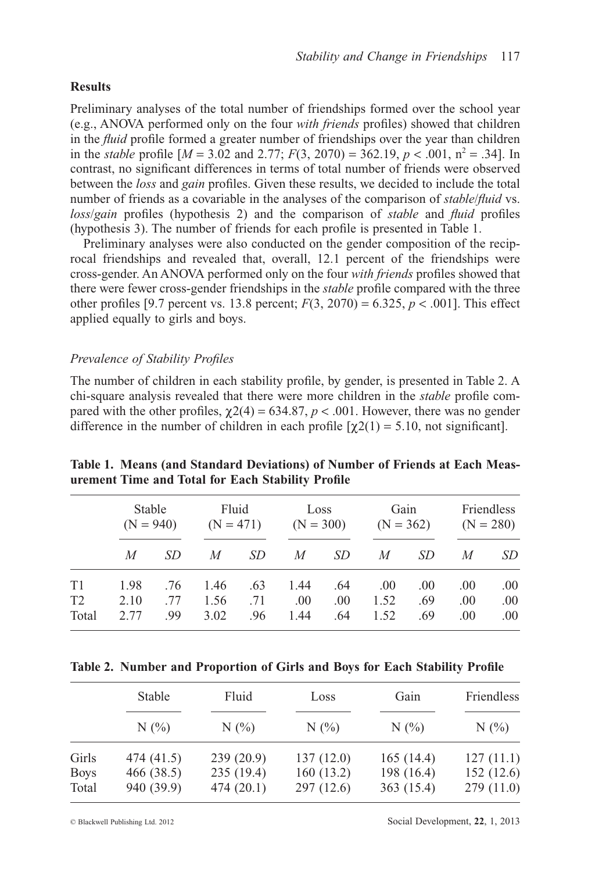## **Results**

Preliminary analyses of the total number of friendships formed over the school year (e.g., ANOVA performed only on the four *with friends* profiles) showed that children in the *fluid* profile formed a greater number of friendships over the year than children in the *stable* profile  $[M = 3.02$  and 2.77;  $F(3, 2070) = 362.19$ ,  $p < .001$ ,  $n^2 = .34$ . In contrast, no significant differences in terms of total number of friends were observed between the *loss* and *gain* profiles. Given these results, we decided to include the total number of friends as a covariable in the analyses of the comparison of *stable*/*fluid* vs. *loss*/*gain* profiles (hypothesis 2) and the comparison of *stable* and *fluid* profiles (hypothesis 3). The number of friends for each profile is presented in Table 1.

Preliminary analyses were also conducted on the gender composition of the reciprocal friendships and revealed that, overall, 12.1 percent of the friendships were cross-gender. An ANOVA performed only on the four *with friends* profiles showed that there were fewer cross-gender friendships in the *stable* profile compared with the three other profiles [9.7 percent vs. 13.8 percent;  $F(3, 2070) = 6.325$ ,  $p < .001$ ]. This effect applied equally to girls and boys.

## *Prevalence of Stability Profiles*

The number of children in each stability profile, by gender, is presented in Table 2. A chi-square analysis revealed that there were more children in the *stable* profile compared with the other profiles,  $\gamma$ 2(4) = 634.87, *p* < .001. However, there was no gender difference in the number of children in each profile  $[\chi(2(1) = 5.10, \text{ not significant}].$ 

|                               | <b>Stable</b><br>$(N = 940)$ |                   | Fluid<br>$(N = 471)$ |                   | Loss<br>$(N = 300)$ |                   | Gain<br>$(N = 362)$  |                    | <b>Friendless</b><br>$(N = 280)$ |                      |
|-------------------------------|------------------------------|-------------------|----------------------|-------------------|---------------------|-------------------|----------------------|--------------------|----------------------------------|----------------------|
|                               | M                            | SD                | M                    | SD                | M                   | SD                | M                    | <i>SD</i>          | M                                | SD                   |
| T1<br>T <sub>2</sub><br>Total | 1.98<br>2.10<br>2.77         | .76<br>.77<br>.99 | 1.46<br>1.56<br>3.02 | .63<br>.71<br>.96 | 1.44<br>.00<br>1.44 | .64<br>.00<br>.64 | .00.<br>1.52<br>1.52 | .00.<br>.69<br>.69 | .00.<br>.00<br>.00               | .00.<br>.00.<br>.00. |

**Table 1. Means (and Standard Deviations) of Number of Friends at Each Measurement Time and Total for Each Stability Profile**

**Table 2. Number and Proportion of Girls and Boys for Each Stability Profile**

|                      | Stable                   | Fluid                  | Loss                   | Gain                    | Friendless             |
|----------------------|--------------------------|------------------------|------------------------|-------------------------|------------------------|
|                      | N(%)                     | N(%                    | N(%                    | N(%                     | N(%                    |
| Girls                | 474 (41.5)               | 239(20.9)              | 137(12.0)              | 165(14.4)               | 127(11.1)              |
| <b>Boys</b><br>Total | 466 (38.5)<br>940 (39.9) | 235(19.4)<br>474(20.1) | 160(13.2)<br>297(12.6) | 198 (16.4)<br>363(15.4) | 152(12.6)<br>279(11.0) |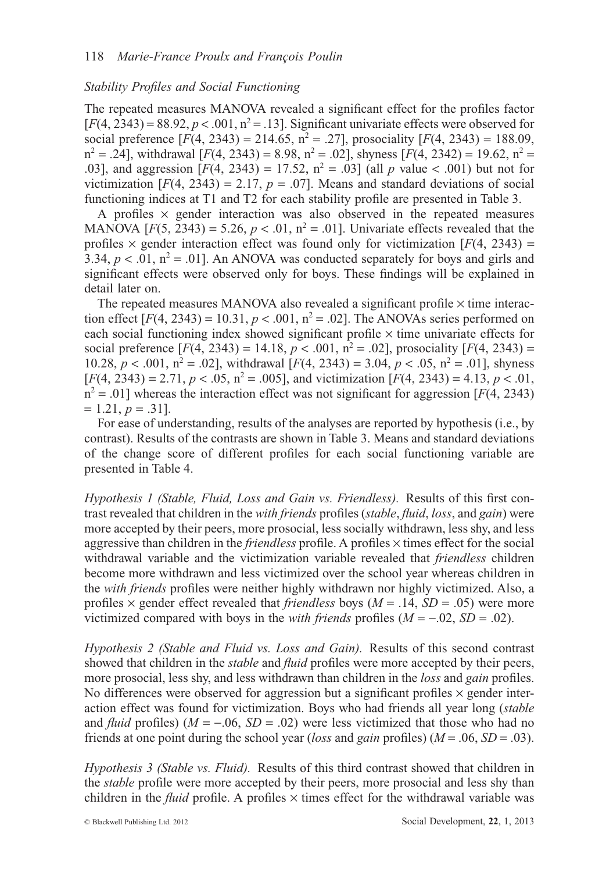## *Stability Profiles and Social Functioning*

The repeated measures MANOVA revealed a significant effect for the profiles factor  $[F(4, 2343) = 88.92, p < .001, n^2 = .13]$ . Significant univariate effects were observed for social preference  $[F(4, 2343) = 214.65, n^2 = .27]$ , prosociality  $[F(4, 2343) = 188.09,$  $n^2 = .24$ ], withdrawal  $[F(4, 2343) = 8.98$ ,  $n^2 = .02$ ], shyness  $[F(4, 2342) = 19.62$ ,  $n^2 =$ .03], and aggression  $[F(4, 2343) = 17.52, n^2 = .03]$  (all *p* value < .001) but not for victimization  $[F(4, 2343) = 2.17, p = .07]$ . Means and standard deviations of social functioning indices at T1 and T2 for each stability profile are presented in Table 3.

A profiles  $\times$  gender interaction was also observed in the repeated measures MANOVA  $[F(5, 2343) = 5.26, p < .01, n^2 = .01]$ . Univariate effects revealed that the profiles  $\times$  gender interaction effect was found only for victimization  $[F(4, 2343) =$ 3.34,  $p < 0.01$ ,  $n^2 = 0.01$ . An ANOVA was conducted separately for boys and girls and significant effects were observed only for boys. These findings will be explained in detail later on.

The repeated measures MANOVA also revealed a significant profile  $\times$  time interaction effect  $[F(4, 2343) = 10.31, p < .001, n^2 = .02]$ . The ANOVAs series performed on each social functioning index showed significant profile  $\times$  time univariate effects for social preference  $[F(4, 2343) = 14.18, p < .001, n^2 = .02]$ , prosociality  $[F(4, 2343) =$ 10.28,  $p < .001$ ,  $n^2 = .02$ ], withdrawal  $[F(4, 2343) = 3.04, p < .05, n^2 = .01]$ , shyness  $[F(4, 2343) = 2.71, p < .05, n^2 = .0051$ , and victimization  $[F(4, 2343) = 4.13, p < .01$ ,  $n^2 = .01$ ] whereas the interaction effect was not significant for aggression [ $F(4, 2343)$ ]  $= 1.21, p = .311.$ 

For ease of understanding, results of the analyses are reported by hypothesis (i.e., by contrast). Results of the contrasts are shown in Table 3. Means and standard deviations of the change score of different profiles for each social functioning variable are presented in Table 4.

*Hypothesis 1 (Stable, Fluid, Loss and Gain vs. Friendless).* Results of this first contrast revealed that children in the *with friends* profiles (*stable*, *fluid*, *loss*, and *gain*) were more accepted by their peers, more prosocial, less socially withdrawn, less shy, and less aggressive than children in the *friendless* profile. A profiles  $\times$  times effect for the social withdrawal variable and the victimization variable revealed that *friendless* children become more withdrawn and less victimized over the school year whereas children in the *with friends* profiles were neither highly withdrawn nor highly victimized. Also, a profiles  $\times$  gender effect revealed that *friendless* boys ( $M = .14$ ,  $SD = .05$ ) were more victimized compared with boys in the *with friends* profiles  $(M = -0.02, SD = 0.02)$ .

*Hypothesis 2 (Stable and Fluid vs. Loss and Gain).* Results of this second contrast showed that children in the *stable* and *fluid* profiles were more accepted by their peers, more prosocial, less shy, and less withdrawn than children in the *loss* and *gain* profiles. No differences were observed for aggression but a significant profiles  $\times$  gender interaction effect was found for victimization. Boys who had friends all year long (*stable* and *fluid* profiles) ( $M = -0.06$ ,  $SD = 0.02$ ) were less victimized that those who had no friends at one point during the school year (*loss* and *gain* profiles)  $(M = .06, SD = .03)$ .

*Hypothesis 3 (Stable vs. Fluid).* Results of this third contrast showed that children in the *stable* profile were more accepted by their peers, more prosocial and less shy than children in the *fluid* profile. A profiles  $\times$  times effect for the withdrawal variable was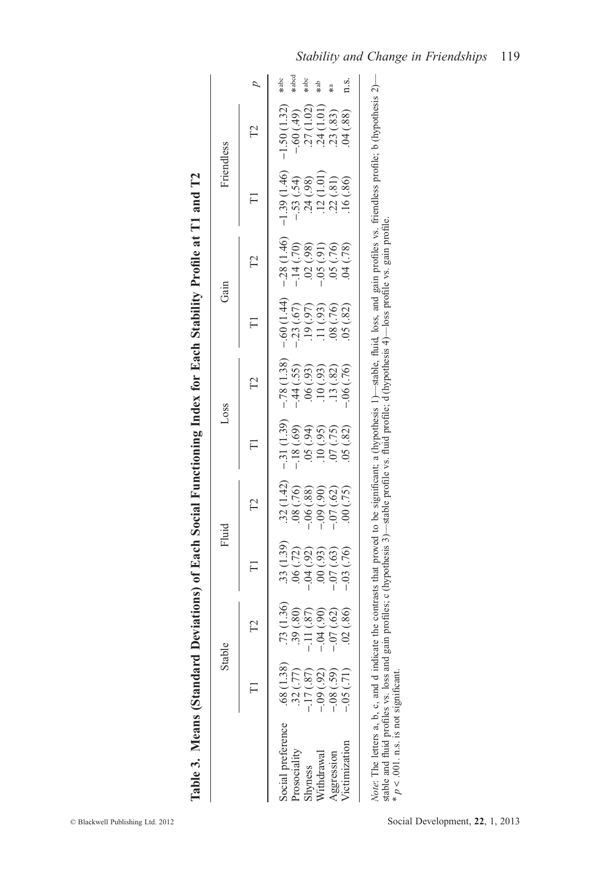|                                                                                                                                                                                                                                                      |                            | Stable                     |                                                                                                                     | Fluid                                                                                                                            |                                                                                                 | Loss                                                                                |                                                                                  | Gain                                                                                                                    | Friendless                                                                                                                                    |                                                                                      |          |
|------------------------------------------------------------------------------------------------------------------------------------------------------------------------------------------------------------------------------------------------------|----------------------------|----------------------------|---------------------------------------------------------------------------------------------------------------------|----------------------------------------------------------------------------------------------------------------------------------|-------------------------------------------------------------------------------------------------|-------------------------------------------------------------------------------------|----------------------------------------------------------------------------------|-------------------------------------------------------------------------------------------------------------------------|-----------------------------------------------------------------------------------------------------------------------------------------------|--------------------------------------------------------------------------------------|----------|
|                                                                                                                                                                                                                                                      |                            |                            |                                                                                                                     | $\mathbb{Z}$                                                                                                                     |                                                                                                 | 2                                                                                   |                                                                                  |                                                                                                                         |                                                                                                                                               | $\mathbb{Z}$                                                                         |          |
| Social preference                                                                                                                                                                                                                                    | .68(1.38)                  | (1.36)                     | .33(1.39)                                                                                                           | .32(1.42)                                                                                                                        | $-31(1.39)$<br>$-18(0.69)$<br>$-18(0.9)$<br>$0.5(94)$<br>$0.05(94)$<br>$0.05(75)$<br>$0.05(22)$ | $-78(1.38)$<br>$-44(.55)$<br>$-66(.93)$<br>$-10(.93)$<br>$-13(.82)$<br>$-0.06(.76)$ | $-.60(1.44)$                                                                     | $-28$ (1.46)<br>$-14$ (70)<br>$02$ (98)<br>$-14$ (70)<br>$05$ (98)<br>$-14$ (70)<br>$05$ (70)<br>$05$ (76)<br>$05$ (76) | $-1.39(1.46)$                                                                                                                                 | $-1.50(1.32)$                                                                        | $*abc$   |
| rosociality                                                                                                                                                                                                                                          |                            | (08)<br>39                 |                                                                                                                     |                                                                                                                                  |                                                                                                 |                                                                                     |                                                                                  |                                                                                                                         |                                                                                                                                               |                                                                                      | *abcd    |
| hyness                                                                                                                                                                                                                                               | $.32(.77)$<br>- $.17(.87)$ | (28)<br>$\equiv$           |                                                                                                                     |                                                                                                                                  |                                                                                                 |                                                                                     |                                                                                  |                                                                                                                         |                                                                                                                                               |                                                                                      | *abc     |
| Vithdrawal                                                                                                                                                                                                                                           | $-0.09(0.92)$              | $\widetilde{90}$<br>$-0.4$ |                                                                                                                     |                                                                                                                                  |                                                                                                 |                                                                                     |                                                                                  |                                                                                                                         |                                                                                                                                               |                                                                                      | $*ab$    |
| Aggression                                                                                                                                                                                                                                           | $-0.08(.59)$               | (52)                       | $\begin{array}{c} 06 \,(.72) \\ -04 \,(.92) \\ 00 \,(.93) \\ -07 \,(.63) \\ -07 \,(.63) \\ -03 \,(.76) \end{array}$ | $-0.08$<br>$-0.09$<br>$-0.09$<br>$-0.09$<br>$-0.09$<br>$-0.09$<br>$-0.09$<br>$-0.09$<br>$-0.09$<br>$-0.09$<br>$-0.09$<br>$-0.09$ |                                                                                                 |                                                                                     | $-23(.67)$<br>$-19(.97)$<br>$-11(.93)$<br>$-10(.76)$<br>$-08(.76)$<br>$-05(.82)$ |                                                                                                                         | $-53 \; (.54)$<br>$.24 \; (.98)$<br>$.12 \; (.101)$<br>$.22 \; (.81)$<br>$.16 \; (.86)$                                                       |                                                                                      | na<br>Ng |
| <i>l</i> ictimization                                                                                                                                                                                                                                | $-05(71)$                  | $\left($ .86               |                                                                                                                     |                                                                                                                                  |                                                                                                 |                                                                                     |                                                                                  |                                                                                                                         |                                                                                                                                               | $-60(.49)$<br>$-27 (1.02)$<br>$27 (1.01)$<br>$24 (1.01)$<br>$23 (.83)$<br>$04 (.88)$ | n.s.     |
| stable and fluid profiles vs. loss and gain profiles; c (hypothesis 3)—stable profile vs. fluid profile; d (hypothesis 4)—loss profile vs. gain profile.<br>Note: The letters a, b, c, and d indicate the<br>$* p < .001$ . n.s. is not significant. |                            |                            |                                                                                                                     |                                                                                                                                  |                                                                                                 |                                                                                     |                                                                                  |                                                                                                                         | he contrasts that proved to be significant; a (hypothesis 1)—stable, fluid, loss, and gain profiles vs. friendless profile; b (hypothesis 2)— |                                                                                      |          |

| ֖֧֧֧֧֧֧֧֧֚֚֚֚֚֚֚֚֚֚֚֚֚֚֚֚֚֚֚֚֚֚֚֚֚֚֚֬֡֡֝֝֬֜֓֝֬֜                                                                   |
|-------------------------------------------------------------------------------------------------------------------|
| $\ddot{\phantom{a}}$<br>i                                                                                         |
| l<br>l                                                                                                            |
| d                                                                                                                 |
| Ï<br>İ<br>ׇ֘֝֕֡                                                                                                   |
| İ                                                                                                                 |
| i<br>$\overline{\phantom{a}}$                                                                                     |
|                                                                                                                   |
| $\ddot{\phantom{a}}$<br>$\ddot{\phantom{a}}$<br>֖֖֖֧֧֧֧֧ׅ֖֧֚֚֚֚֚֚֚֚֚֚֚֚֚֚֚֚֚֚֚֚֚֚֚֚֚֚֚֡֝֝֓֕֝֓֝֓֝֬֜֝               |
| ١                                                                                                                 |
| ļ                                                                                                                 |
|                                                                                                                   |
| ֖ׅׅׅׅׅ֧֧֖ׅ֧ׅ֧ׅ֧ׅ֧֖ׅ֖֧֚֚֚֚֚֚֚֚֚֚֚֚֚֚֚֚֚֚֚֚֚֚֚֚֡֡֡֡֝֟֓֡֞֡֞֟֡֡֡֞֟֡֡֟֡֡֬֝֞֞֝֞֞֞֞֞֝֬֞֝֬֞֝֬֞֝֞֞֞֝<br>֧֧֧֖֖֚֚֚֚֚֚֚֚֚֚֝֝֝ |
| <br> <br>                                                                                                         |
|                                                                                                                   |
|                                                                                                                   |
| i                                                                                                                 |
| ֕                                                                                                                 |
| י<br>י                                                                                                            |
| Table                                                                                                             |

 $\Gamma$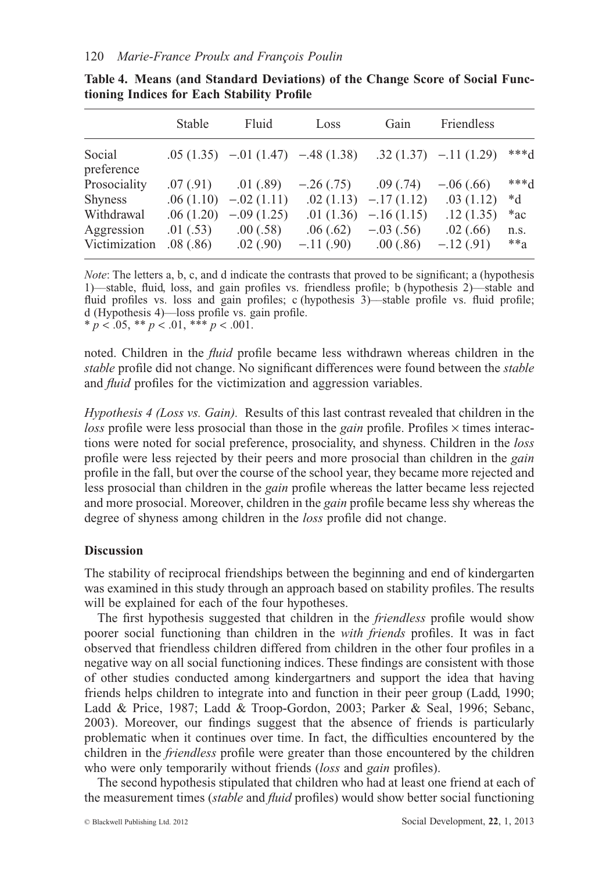| Stable               | Fluid                | Loss        | Gain                                  | Friendless                                                    |                       |
|----------------------|----------------------|-------------|---------------------------------------|---------------------------------------------------------------|-----------------------|
|                      |                      |             |                                       |                                                               | $***d$                |
| .07(.91)             | .01(0.89)            |             |                                       | $-.06(.66)$                                                   | $***1$                |
|                      | $-.02(1.11)$         |             |                                       | .03(1.12)                                                     | $\mathbf{A}^*$        |
| .06(1.20)            | $-.09(1.25)$         | .01(1.36)   | $-.16(1.15)$                          | .12(1.35)                                                     | $*ac$                 |
| .01(.53)<br>.08(.86) | .00(.58)<br>.02(.90) | $-.11(.90)$ | $-.03(.56)$<br>.00(.86)               | .02(0.66)<br>$-.12(.91)$                                      | n.s.<br>$**a$         |
|                      |                      | .06(1.10)   | $.05(1.35)$ $-.01(1.47)$ $-.48(1.38)$ | $-.26(.75)$ .09 (.74)<br>$.02(1.13)$ $-.17(1.12)$<br>.06(.62) | $.32(1.37) -11(1.29)$ |

**Table 4. Means (and Standard Deviations) of the Change Score of Social Functioning Indices for Each Stability Profile**

*Note*: The letters a, b, c, and d indicate the contrasts that proved to be significant; a (hypothesis 1)––stable, fluid, loss, and gain profiles vs. friendless profile; b (hypothesis 2)––stable and fluid profiles vs. loss and gain profiles; c (hypothesis 3)—stable profile vs. fluid profile; d (Hypothesis 4)––loss profile vs. gain profile.  $* p < .05, ** p < .01, ** p < .001.$ 

noted. Children in the *fluid* profile became less withdrawn whereas children in the *stable* profile did not change. No significant differences were found between the *stable* and *fluid* profiles for the victimization and aggression variables.

*Hypothesis 4 (Loss vs. Gain).* Results of this last contrast revealed that children in the *loss* profile were less prosocial than those in the *gain* profile. Profiles  $\times$  times interactions were noted for social preference, prosociality, and shyness. Children in the *loss* profile were less rejected by their peers and more prosocial than children in the *gain* profile in the fall, but over the course of the school year, they became more rejected and less prosocial than children in the *gain* profile whereas the latter became less rejected and more prosocial. Moreover, children in the *gain* profile became less shy whereas the degree of shyness among children in the *loss* profile did not change.

## **Discussion**

The stability of reciprocal friendships between the beginning and end of kindergarten was examined in this study through an approach based on stability profiles. The results will be explained for each of the four hypotheses.

The first hypothesis suggested that children in the *friendless* profile would show poorer social functioning than children in the *with friends* profiles. It was in fact observed that friendless children differed from children in the other four profiles in a negative way on all social functioning indices. These findings are consistent with those of other studies conducted among kindergartners and support the idea that having friends helps children to integrate into and function in their peer group (Ladd, 1990; Ladd & Price, 1987; Ladd & Troop-Gordon, 2003; Parker & Seal, 1996; Sebanc, 2003). Moreover, our findings suggest that the absence of friends is particularly problematic when it continues over time. In fact, the difficulties encountered by the children in the *friendless* profile were greater than those encountered by the children who were only temporarily without friends (*loss* and *gain* profiles).

The second hypothesis stipulated that children who had at least one friend at each of the measurement times (*stable* and *fluid* profiles) would show better social functioning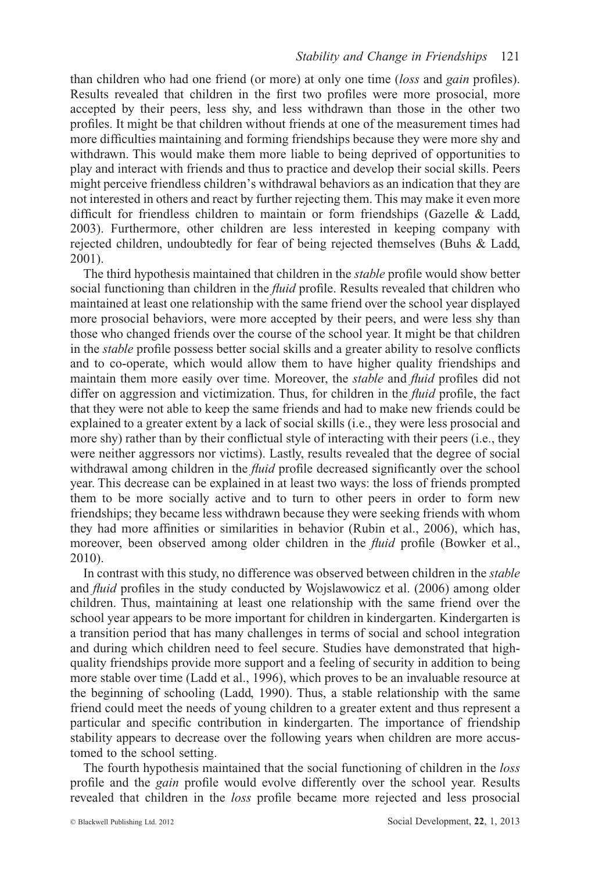than children who had one friend (or more) at only one time (*loss* and *gain* profiles). Results revealed that children in the first two profiles were more prosocial, more accepted by their peers, less shy, and less withdrawn than those in the other two profiles. It might be that children without friends at one of the measurement times had more difficulties maintaining and forming friendships because they were more shy and withdrawn. This would make them more liable to being deprived of opportunities to play and interact with friends and thus to practice and develop their social skills. Peers might perceive friendless children's withdrawal behaviors as an indication that they are not interested in others and react by further rejecting them. This may make it even more difficult for friendless children to maintain or form friendships (Gazelle & Ladd, 2003). Furthermore, other children are less interested in keeping company with rejected children, undoubtedly for fear of being rejected themselves (Buhs & Ladd, 2001).

The third hypothesis maintained that children in the *stable* profile would show better social functioning than children in the *fluid* profile. Results revealed that children who maintained at least one relationship with the same friend over the school year displayed more prosocial behaviors, were more accepted by their peers, and were less shy than those who changed friends over the course of the school year. It might be that children in the *stable* profile possess better social skills and a greater ability to resolve conflicts and to co-operate, which would allow them to have higher quality friendships and maintain them more easily over time. Moreover, the *stable* and *fluid* profiles did not differ on aggression and victimization. Thus, for children in the *fluid* profile, the fact that they were not able to keep the same friends and had to make new friends could be explained to a greater extent by a lack of social skills (i.e., they were less prosocial and more shy) rather than by their conflictual style of interacting with their peers (i.e., they were neither aggressors nor victims). Lastly, results revealed that the degree of social withdrawal among children in the *fluid* profile decreased significantly over the school year. This decrease can be explained in at least two ways: the loss of friends prompted them to be more socially active and to turn to other peers in order to form new friendships; they became less withdrawn because they were seeking friends with whom they had more affinities or similarities in behavior (Rubin et al., 2006), which has, moreover, been observed among older children in the *fluid* profile (Bowker et al., 2010).

In contrast with this study, no difference was observed between children in the *stable* and *fluid* profiles in the study conducted by Wojslawowicz et al. (2006) among older children. Thus, maintaining at least one relationship with the same friend over the school year appears to be more important for children in kindergarten. Kindergarten is a transition period that has many challenges in terms of social and school integration and during which children need to feel secure. Studies have demonstrated that highquality friendships provide more support and a feeling of security in addition to being more stable over time (Ladd et al., 1996), which proves to be an invaluable resource at the beginning of schooling (Ladd, 1990). Thus, a stable relationship with the same friend could meet the needs of young children to a greater extent and thus represent a particular and specific contribution in kindergarten. The importance of friendship stability appears to decrease over the following years when children are more accustomed to the school setting.

The fourth hypothesis maintained that the social functioning of children in the *loss* profile and the *gain* profile would evolve differently over the school year. Results revealed that children in the *loss* profile became more rejected and less prosocial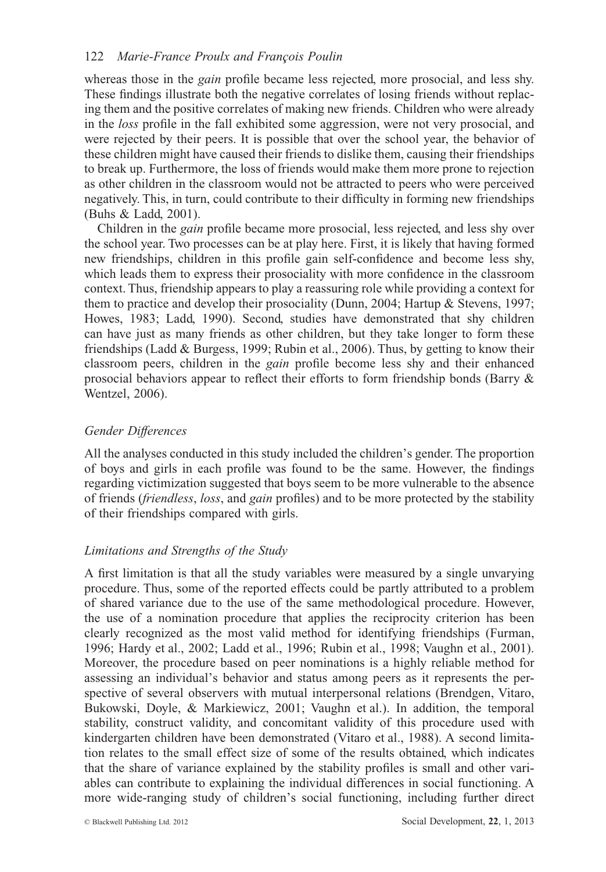whereas those in the *gain* profile became less rejected, more prosocial, and less shy. These findings illustrate both the negative correlates of losing friends without replacing them and the positive correlates of making new friends. Children who were already in the *loss* profile in the fall exhibited some aggression, were not very prosocial, and were rejected by their peers. It is possible that over the school year, the behavior of these children might have caused their friends to dislike them, causing their friendships to break up. Furthermore, the loss of friends would make them more prone to rejection as other children in the classroom would not be attracted to peers who were perceived negatively. This, in turn, could contribute to their difficulty in forming new friendships (Buhs & Ladd, 2001).

Children in the *gain* profile became more prosocial, less rejected, and less shy over the school year. Two processes can be at play here. First, it is likely that having formed new friendships, children in this profile gain self-confidence and become less shy, which leads them to express their prosociality with more confidence in the classroom context. Thus, friendship appears to play a reassuring role while providing a context for them to practice and develop their prosociality (Dunn, 2004; Hartup & Stevens, 1997; Howes, 1983; Ladd, 1990). Second, studies have demonstrated that shy children can have just as many friends as other children, but they take longer to form these friendships (Ladd & Burgess, 1999; Rubin et al., 2006). Thus, by getting to know their classroom peers, children in the *gain* profile become less shy and their enhanced prosocial behaviors appear to reflect their efforts to form friendship bonds (Barry & Wentzel, 2006).

## *Gender Differences*

All the analyses conducted in this study included the children's gender. The proportion of boys and girls in each profile was found to be the same. However, the findings regarding victimization suggested that boys seem to be more vulnerable to the absence of friends (*friendless*, *loss*, and *gain* profiles) and to be more protected by the stability of their friendships compared with girls.

# *Limitations and Strengths of the Study*

A first limitation is that all the study variables were measured by a single unvarying procedure. Thus, some of the reported effects could be partly attributed to a problem of shared variance due to the use of the same methodological procedure. However, the use of a nomination procedure that applies the reciprocity criterion has been clearly recognized as the most valid method for identifying friendships (Furman, 1996; Hardy et al., 2002; Ladd et al., 1996; Rubin et al., 1998; Vaughn et al., 2001). Moreover, the procedure based on peer nominations is a highly reliable method for assessing an individual's behavior and status among peers as it represents the perspective of several observers with mutual interpersonal relations (Brendgen, Vitaro, Bukowski, Doyle, & Markiewicz, 2001; Vaughn et al.). In addition, the temporal stability, construct validity, and concomitant validity of this procedure used with kindergarten children have been demonstrated (Vitaro et al., 1988). A second limitation relates to the small effect size of some of the results obtained, which indicates that the share of variance explained by the stability profiles is small and other variables can contribute to explaining the individual differences in social functioning. A more wide-ranging study of children's social functioning, including further direct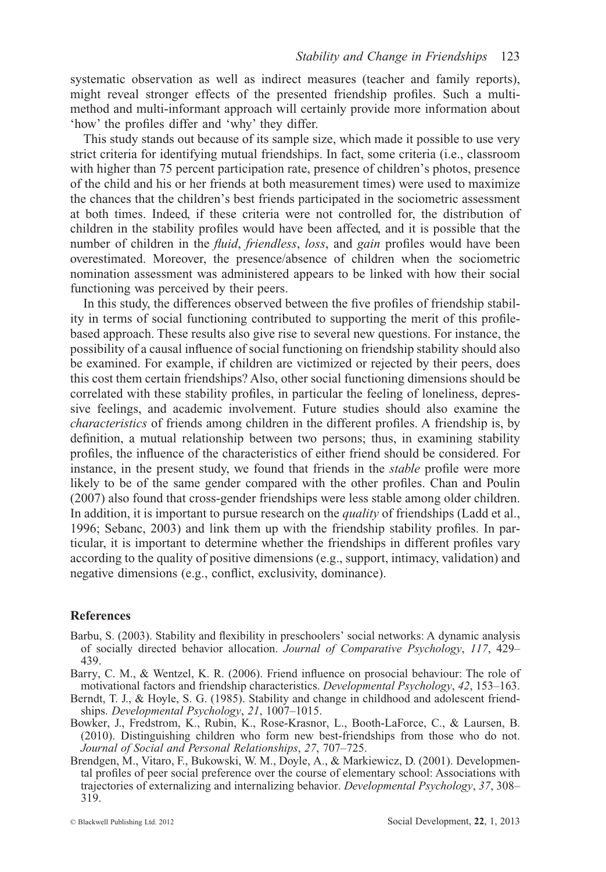systematic observation as well as indirect measures (teacher and family reports), might reveal stronger effects of the presented friendship profiles. Such a multimethod and multi-informant approach will certainly provide more information about 'how' the profiles differ and 'why' they differ.

This study stands out because of its sample size, which made it possible to use very strict criteria for identifying mutual friendships. In fact, some criteria (i.e., classroom with higher than 75 percent participation rate, presence of children's photos, presence of the child and his or her friends at both measurement times) were used to maximize the chances that the children's best friends participated in the sociometric assessment at both times. Indeed, if these criteria were not controlled for, the distribution of children in the stability profiles would have been affected, and it is possible that the number of children in the *fluid*, *friendless*, *loss*, and *gain* profiles would have been overestimated. Moreover, the presence/absence of children when the sociometric nomination assessment was administered appears to be linked with how their social functioning was perceived by their peers.

In this study, the differences observed between the five profiles of friendship stability in terms of social functioning contributed to supporting the merit of this profilebased approach. These results also give rise to several new questions. For instance, the possibility of a causal influence of social functioning on friendship stability should also be examined. For example, if children are victimized or rejected by their peers, does this cost them certain friendships? Also, other social functioning dimensions should be correlated with these stability profiles, in particular the feeling of loneliness, depressive feelings, and academic involvement. Future studies should also examine the *characteristics* of friends among children in the different profiles. A friendship is, by definition, a mutual relationship between two persons; thus, in examining stability profiles, the influence of the characteristics of either friend should be considered. For instance, in the present study, we found that friends in the *stable* profile were more likely to be of the same gender compared with the other profiles. Chan and Poulin (2007) also found that cross-gender friendships were less stable among older children. In addition, it is important to pursue research on the *quality* of friendships (Ladd et al., 1996; Sebanc, 2003) and link them up with the friendship stability profiles. In particular, it is important to determine whether the friendships in different profiles vary according to the quality of positive dimensions (e.g., support, intimacy, validation) and negative dimensions (e.g., conflict, exclusivity, dominance).

#### **References**

- Barbu, S. (2003). Stability and flexibility in preschoolers' social networks: A dynamic analysis of socially directed behavior allocation. *Journal of Comparative Psychology*, *117*, 429– 439.
- Barry, C. M., & Wentzel, K. R. (2006). Friend influence on prosocial behaviour: The role of motivational factors and friendship characteristics. *Developmental Psychology*, *42*, 153–163.
- Berndt, T. J., & Hoyle, S. G. (1985). Stability and change in childhood and adolescent friendships. *Developmental Psychology*, *21*, 1007–1015.
- Bowker, J., Fredstrom, K., Rubin, K., Rose-Krasnor, L., Booth-LaForce, C., & Laursen, B. (2010). Distinguishing children who form new best-friendships from those who do not. *Journal of Social and Personal Relationships*, *27*, 707–725.
- Brendgen, M., Vitaro, F., Bukowski, W. M., Doyle, A., & Markiewicz, D. (2001). Developmental profiles of peer social preference over the course of elementary school: Associations with trajectories of externalizing and internalizing behavior. *Developmental Psychology*, *37*, 308– 319.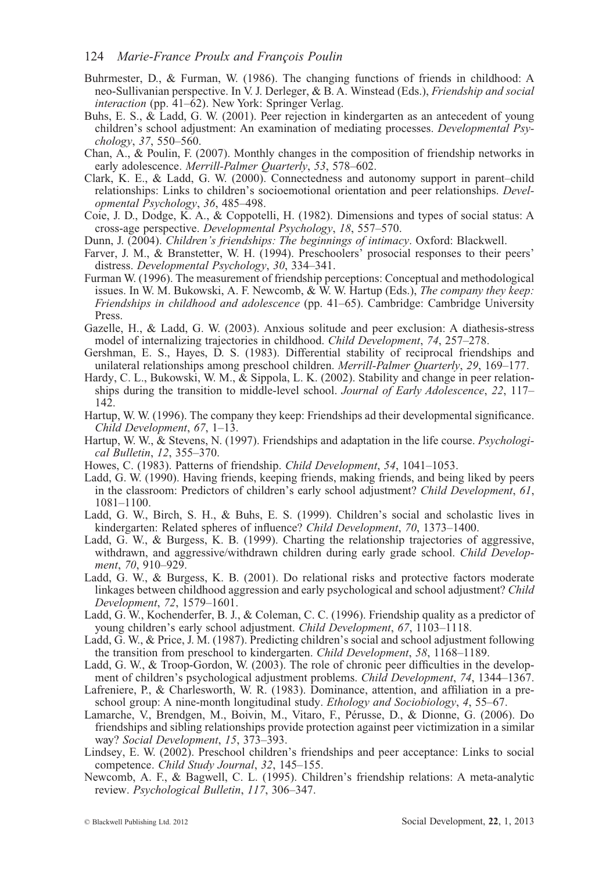- Buhrmester, D., & Furman, W. (1986). The changing functions of friends in childhood: A neo-Sullivanian perspective. In V. J. Derleger, & B. A. Winstead (Eds.), *Friendship and social interaction* (pp. 41–62). New York: Springer Verlag.
- Buhs, E. S., & Ladd, G. W. (2001). Peer rejection in kindergarten as an antecedent of young children's school adjustment: An examination of mediating processes. *Developmental Psychology*, *37*, 550–560.
- Chan, A., & Poulin, F. (2007). Monthly changes in the composition of friendship networks in early adolescence. *Merrill-Palmer Quarterly*, *53*, 578–602.
- Clark, K. E., & Ladd, G. W. (2000). Connectedness and autonomy support in parent–child relationships: Links to children's socioemotional orientation and peer relationships. *Developmental Psychology*, *36*, 485–498.
- Coie, J. D., Dodge, K. A., & Coppotelli, H. (1982). Dimensions and types of social status: A cross-age perspective. *Developmental Psychology*, *18*, 557–570.
- Dunn, J. (2004). *Children's friendships: The beginnings of intimacy*. Oxford: Blackwell.
- Farver, J. M., & Branstetter, W. H. (1994). Preschoolers' prosocial responses to their peers' distress. *Developmental Psychology*, *30*, 334–341.
- Furman W. (1996). The measurement of friendship perceptions: Conceptual and methodological issues. In W. M. Bukowski, A. F. Newcomb, & W. W. Hartup (Eds.), *The company they keep: Friendships in childhood and adolescence* (pp. 41–65). Cambridge: Cambridge University Press.
- Gazelle, H., & Ladd, G. W. (2003). Anxious solitude and peer exclusion: A diathesis-stress model of internalizing trajectories in childhood. *Child Development*, *74*, 257–278.
- Gershman, E. S., Hayes, D. S. (1983). Differential stability of reciprocal friendships and unilateral relationships among preschool children. *Merrill-Palmer Quarterly*, *29*, 169–177.
- Hardy, C. L., Bukowski, W. M., & Sippola, L. K. (2002). Stability and change in peer relationships during the transition to middle-level school. *Journal of Early Adolescence*, *22*, 117– 142.
- Hartup, W. W. (1996). The company they keep: Friendships ad their developmental significance. *Child Development*, *67*, 1–13.
- Hartup, W. W., & Stevens, N. (1997). Friendships and adaptation in the life course. *Psychological Bulletin*, *12*, 355–370.
- Howes, C. (1983). Patterns of friendship. *Child Development*, *54*, 1041–1053.
- Ladd, G. W. (1990). Having friends, keeping friends, making friends, and being liked by peers in the classroom: Predictors of children's early school adjustment? *Child Development*, *61*, 1081–1100.
- Ladd, G. W., Birch, S. H., & Buhs, E. S. (1999). Children's social and scholastic lives in kindergarten: Related spheres of influence? *Child Development*, *70*, 1373–1400.
- Ladd, G. W., & Burgess, K. B. (1999). Charting the relationship trajectories of aggressive, withdrawn, and aggressive/withdrawn children during early grade school. *Child Development*, *70*, 910–929.
- Ladd, G. W., & Burgess, K. B. (2001). Do relational risks and protective factors moderate linkages between childhood aggression and early psychological and school adjustment? *Child Development*, *72*, 1579–1601.
- Ladd, G. W., Kochenderfer, B. J., & Coleman, C. C. (1996). Friendship quality as a predictor of young children's early school adjustment. *Child Development*, *67*, 1103–1118.
- Ladd, G. W., & Price, J. M. (1987). Predicting children's social and school adjustment following the transition from preschool to kindergarten. *Child Development*, *58*, 1168–1189.
- Ladd, G. W., & Troop-Gordon, W. (2003). The role of chronic peer difficulties in the development of children's psychological adjustment problems. *Child Development*, *74*, 1344–1367.
- Lafreniere, P., & Charlesworth, W. R. (1983). Dominance, attention, and affiliation in a preschool group: A nine-month longitudinal study. *Ethology and Sociobiology*, *4*, 55–67.
- Lamarche, V., Brendgen, M., Boivin, M., Vitaro, F., Pérusse, D., & Dionne, G. (2006). Do friendships and sibling relationships provide protection against peer victimization in a similar way? *Social Development*, *15*, 373–393.
- Lindsey, E. W. (2002). Preschool children's friendships and peer acceptance: Links to social competence. *Child Study Journal*, *32*, 145–155.
- Newcomb, A. F., & Bagwell, C. L. (1995). Children's friendship relations: A meta-analytic review. *Psychological Bulletin*, *117*, 306–347.